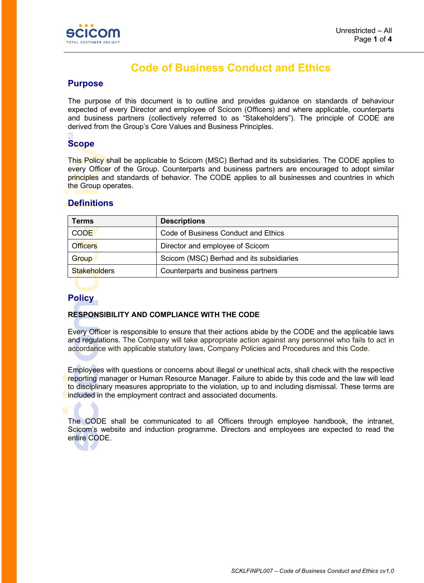

# **Code of Business Conduct and Ethics**

## **Purpose**

The purpose of this document is to outline and provides guidance on standards of behaviour expected of every Director and employee of Scicom (Officers) and where applicable, counterparts and business partners (collectively referred to as "Stakeholders"). The principle of CODE are derived from the Group's Core Values and Business Principles.

# **Scope**

This Policy shall be applicable to Scicom (MSC) Berhad and its subsidiaries. The CODE applies to every Officer of the Group. Counterparts and business partners are encouraged to adopt similar principles and standards of behavior. The CODE applies to all businesses and countries in which the Group operates.

# **Definitions**

| Terms               | <b>Descriptions</b>                      |
|---------------------|------------------------------------------|
| <b>CODE</b>         | Code of Business Conduct and Ethics      |
| <b>Officers</b>     | Director and employee of Scicom          |
| Group               | Scicom (MSC) Berhad and its subsidiaries |
| <b>Stakeholders</b> | Counterparts and business partners       |

# **Policy**

#### **RESPONSIBILITY AND COMPLIANCE WITH THE CODE**

Every Officer is responsible to ensure that their actions abide by the CODE and the applicable laws and regulations. The Company will take appropriate action against any personnel who fails to act in accordance with applicable statutory laws, Company Policies and Procedures and this Code.

Employees with questions or concerns about illegal or unethical acts, shall check with the respective reporting manager or Human Resource Manager. Failure to abide by this code and the law will lead to disciplinary measures appropriate to the violation, up to and including dismissal. These terms are included in the employment contract and associated documents.

The CODE shall be communicated to all Officers through employee handbook, the intranet, Scicom's website and induction programme. Directors and employees are expected to read the entire CODE.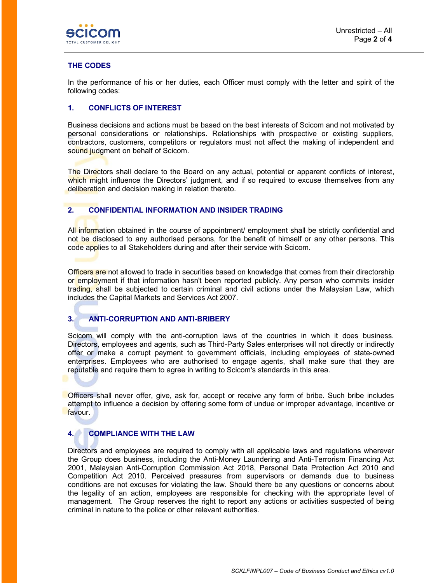

### **THE CODES**

In the performance of his or her duties, each Officer must comply with the letter and spirit of the following codes:

#### **1. CONFLICTS OF INTEREST**

Business decisions and actions must be based on the best interests of Scicom and not motivated by personal considerations or relationships. Relationships with prospective or existing suppliers, contractors, customers, competitors or regulators must not affect the making of independent and sound judgment on behalf of Scicom.

The Directors shall declare to the Board on any actual, potential or apparent conflicts of interest, which might influence the Directors' judgment, and if so required to excuse themselves from any deliberation and decision making in relation thereto.

#### **2. CONFIDENTIAL INFORMATION AND INSIDER TRADING**

All information obtained in the course of appointment/ employment shall be strictly confidential and not be disclosed to any authorised persons, for the benefit of himself or any other persons. This code applies to all Stakeholders during and after their service with Scicom.

Officers are not allowed to trade in securities based on knowledge that comes from their directorship or employment if that information hasn't been reported publicly. Any person who commits insider trading, shall be subjected to certain criminal and civil actions under the Malaysian Law, which includes the Capital Markets and Services Act 2007.

#### **3. ANTI-CORRUPTION AND ANTI-BRIBERY**

Scicom will comply with the anti-corruption laws of the countries in which it does business. Directors, employees and agents, such as Third-Party Sales enterprises will not directly or indirectly offer or make a corrupt payment to government officials, including employees of state-owned enterprises. Employees who are authorised to engage agents, shall make sure that they are reputable and require them to agree in writing to Scicom's standards in this area.

Officers shall never offer, give, ask for, accept or receive any form of bribe. Such bribe includes attempt to influence a decision by offering some form of undue or improper advantage, incentive or favour.

## **4. COMPLIANCE WITH THE LAW**

Directors and employees are required to comply with all applicable laws and regulations wherever the Group does business, including the Anti-Money Laundering and Anti-Terrorism Financing Act 2001, Malaysian Anti-Corruption Commission Act 2018, Personal Data Protection Act 2010 and Competition Act 2010. Perceived pressures from supervisors or demands due to business conditions are not excuses for violating the law. Should there be any questions or concerns about the legality of an action, employees are responsible for checking with the appropriate level of management. The Group reserves the right to report any actions or activities suspected of being criminal in nature to the police or other relevant authorities.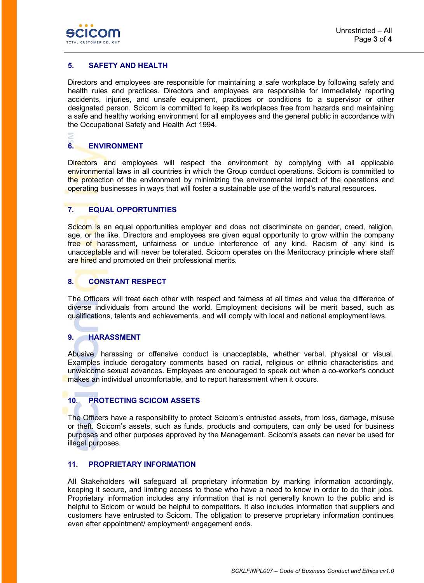

#### **5. SAFETY AND HEALTH**

Directors and employees are responsible for maintaining a safe workplace by following safety and health rules and practices. Directors and employees are responsible for immediately reporting accidents, injuries, and unsafe equipment, practices or conditions to a supervisor or other designated person. Scicom is committed to keep its workplaces free from hazards and maintaining a safe and healthy working environment for all employees and the general public in accordance with the Occupational Safety and Health Act 1994.

#### **6. ENVIRONMENT**

Directors and employees will respect the environment by complying with all applicable environmental laws in all countries in which the Group conduct operations. Scicom is committed to the protection of the environment by minimizing the environmental impact of the operations and operating businesses in ways that will foster a sustainable use of the world's natural resources.

#### **7. EQUAL OPPORTUNITIES**

Scicom is an equal opportunities employer and does not discriminate on gender, creed, religion, age, or the like. Directors and employees are given equal opportunity to grow within the company free of harassment, unfairness or undue interference of any kind. Racism of any kind is unacceptable and will never be tolerated. Scicom operates on the Meritocracy principle where staff are hired and promoted on their professional merits.

#### **8. CONSTANT RESPECT**

The Officers will treat each other with respect and fairness at all times and value the difference of diverse individuals from around the world. Employment decisions will be merit based, such as qualifications, talents and achievements, and will comply with local and national employment laws.

## **9. HARASSMENT**

Abusive, harassing or offensive conduct is unacceptable, whether verbal, physical or visual. Examples include derogatory comments based on racial, religious or ethnic characteristics and unwelcome sexual advances. Employees are encouraged to speak out when a co-worker's conduct makes an individual uncomfortable, and to report harassment when it occurs.

# **10. PROTECTING SCICOM ASSETS**

The Officers have a responsibility to protect Scicom's entrusted assets, from loss, damage, misuse or theft. Scicom's assets, such as funds, products and computers, can only be used for business purposes and other purposes approved by the Management. Scicom's assets can never be used for illegal purposes.

#### **11. PROPRIETARY INFORMATION**

All Stakeholders will safeguard all proprietary information by marking information accordingly, keeping it secure, and limiting access to those who have a need to know in order to do their jobs. Proprietary information includes any information that is not generally known to the public and is helpful to Scicom or would be helpful to competitors. It also includes information that suppliers and customers have entrusted to Scicom. The obligation to preserve proprietary information continues even after appointment/ employment/ engagement ends.